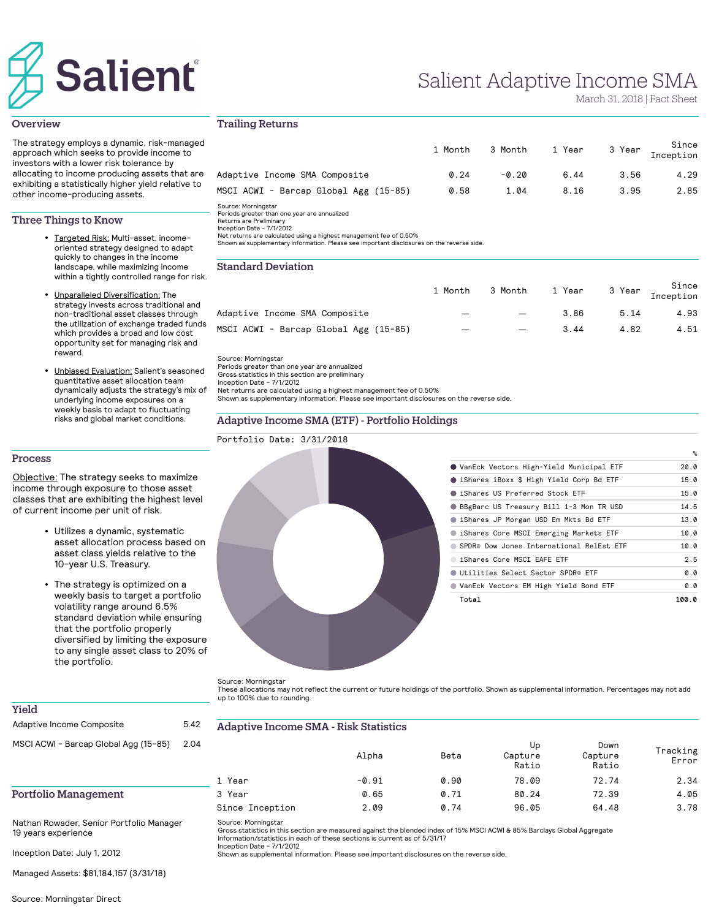# **Salient**

# Salient Adaptive Income SMA

March 31, 2018 | Fact Sheet

%

#### **Overview**

The strategy employs a dynamic, risk-managed approach which seeks to provide income to investors with a lower risk tolerance by allocating to income producing assets that are exhibiting a statistically higher yield relative to other income-producing assets.

## Three Things to Know

- Targeted Risk: Multi-asset, incomeoriented strategy designed to adapt quickly to changes in the income landscape, while maximizing income within a tightly controlled range for risk.
- **Unparalleled Diversification:** The strategy invests across traditional and non-traditional asset classes through the utilization of exchange traded funds which provides a broad and low cost opportunity set for managing risk and reward.
- Unbiased Evaluation: Salient's seasoned quantitative asset allocation team dynamically adjusts the strategy's mix of underlying income exposures on a weekly basis to adapt to fluctuating risks and global market conditions.

# Trailing Returns

|                                                                                                                                                                                                   | 1 Month | 3 Month | 1 Year | 3 Year | Since<br>Inception |
|---------------------------------------------------------------------------------------------------------------------------------------------------------------------------------------------------|---------|---------|--------|--------|--------------------|
| Adaptive Income SMA Composite                                                                                                                                                                     | 0.24    | $-0.20$ | 6.44   | 3.56   | 4.29               |
| MSCI ACWI - Barcap Global Agg (15-85)                                                                                                                                                             | 0.58    | 1.04    | 8.16   | 3.95   | 2.85               |
| Source: Morningstar<br>Periods greater than one year are annualized<br>Returns are Preliminary<br>Inception Date - 7/1/2012<br>Net returns are calculated using a bighest management fee of 0.50% |         |         |        |        |                    |

Net returns are calculated using a highest management fee of 0.50% Shown as supplementary information. Please see important disclosures on the reverse side.

# Standard Deviation

|                                                                     | 1 Month | 3 Month | 1 Year | 3 Year | Since<br>Inception |
|---------------------------------------------------------------------|---------|---------|--------|--------|--------------------|
| Adaptive Income SMA Composite                                       |         |         | 3.86   | 5.14   | 4.93               |
| MSCI ACWI - Barcap Global Agg (15-85)                               |         | —       | 3.44   | 4.82   | 4.51               |
| Source: Morningstar<br>Periods greater than one year are annualized |         |         |        |        |                    |

Periods greater than one year are annualized Gross statistics in this section are preliminary Inception Date - 7/1/2012

Net returns are calculated using a highest management fee of 0.50% Shown as supplementary information. Please see important disclosures on the reverse side.

# - Portfolio Holdings

#### Process

Objective: The strategy seeks to maximize income through exposure to those asset classes that are exhibiting the highest level of current income per unit of risk.

- Utilizes a dynamic, systematic asset allocation process based on asset class yields relative to the 10-year U.S. Treasury.
- The strategy is optimized on a weekly basis to target a portfolio volatility range around 6.5% standard deviation while ensuring that the portfolio properly diversified by limiting the exposure to any single asset class to 20% of the portfolio.

| Total                                    | 100.0 |
|------------------------------------------|-------|
| VanEck Vectors EM High Yield Bond ETF    | 0.0   |
| Utilities Select Sector SPDR® ETF        | 0.0   |
| iShares Core MSCI EAFE ETF               | 2.5   |
| SPDR® Dow Jones International RelEst ETF | 10.0  |
| iShares Core MSCI Emerging Markets ETF   | 10.0  |
| Shares JP Morgan USD Em Mkts Bd ETF      | 13.0  |
| BBgBarc US Treasury Bill 1-3 Mon TR USD  | 14.5  |
| Sishares US Preferred Stock ETF          | 15.0  |
| Shares iBoxx \$ High Yield Corp Bd ETF   | 15.0  |
| VanEck Vectors High-Yield Municipal ETF  | 20.0  |
|                                          | %     |

Source: Morningstar

These allocations may not reflect the current or future holdings of the portfolio. Shown as supplemental information. Percentages may not add up to 100% due to rounding.

| 2.04 |                 | Alpha   | Beta | Up<br>Capture<br>Ratio | Down<br>Capture<br>Ratio | Tracking<br>Error |
|------|-----------------|---------|------|------------------------|--------------------------|-------------------|
|      | 1 Year          | $-0.91$ | 0.90 | 78.09                  | 72.74                    | 2.34              |
|      | 3 Year          | 0.65    | 0.71 | 80.24                  | 72.39                    | 4.05              |
|      | Since Inception | 2.09    | 0.74 | 96.05                  | 64.48                    | 3.78              |

Source: Morningstar

Gross statistics in this section are measured against the blended index of 15% MSCI ACWI & 85% Barclays Global Aggregate Information/statistics in each of these sections is current as of 5/31/17 Inception Date - 7/1/2012

Shown as supplemental information. Please see important disclosures on the reverse side.

Inception Date: July 1, 2012

19 years experience

Yield

Portfolio Management

Managed Assets: \$81,184,157 (3/31/18)

Nathan Rowader, Senior Portfolio Manager

# e Income SMA - Risk Statistics

| Yield                                 |      |          |
|---------------------------------------|------|----------|
| Adaptive Income Composite             | 5.42 | Adaptive |
| MSCI ACWI - Barcap Global Agg (15-85) | 2.04 |          |

| <b>Adaptive Income SMA (ETF)</b> |  |  |
|----------------------------------|--|--|
| Portfolio Date: 3/31/2018        |  |  |
|                                  |  |  |